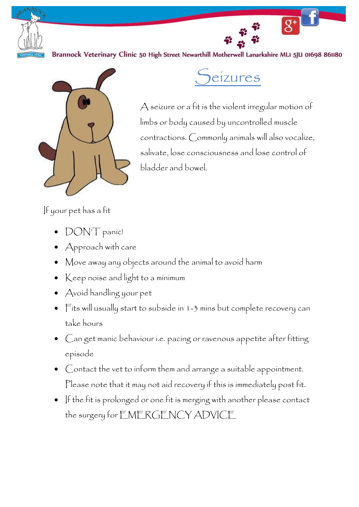

Brannock Veterinary Clinic 50 High Street Newarthill Motherwell Lanarkshire MLI 5JU 01698 861180



.<br>eizures

 $\overline{g^+}$ 

A seizure or a fit is the violent irregular motion of limbs or body caused by uncontrolled muscle contractions. Commonly animals will also vocalize, salivate, lose consciousness and lose control of bladder and bowel.

If your pet has a fit

- DON<sup>T</sup> panic!
- Approach with care
- Move away any objects around the animal to avoid harm
- Keep noise and light to a minimum
- Avoid handling your pet
- Fits will usually start to subside in 1-3 mins but complete recovery can take hours
- Can get manic behaviour i.e. pacing or ravenous appetite after fitting episode
- Contact the vet to inform them and arrange a suitable appointment. Please note that it may not aid recovery if this is immediately post fit.
- If the fit is prolonged or one fit is merging with another please contact the surgery for EMERGENCY ADVICE